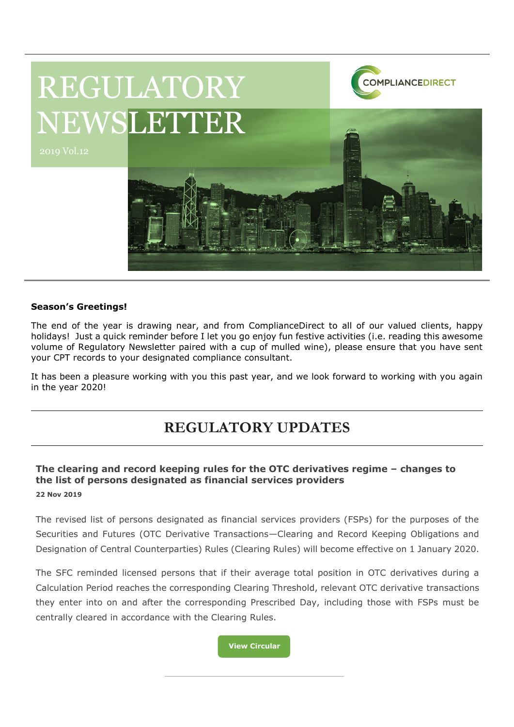

#### **Season's Greetings!**

The end of the year is drawing near, and from ComplianceDirect to all of our valued clients, happy holidays! Just a quick reminder before I let you go enjoy fun festive activities (i.e. reading this awesome volume of Regulatory Newsletter paired with a cup of mulled wine), please ensure that you have sent your CPT records to your designated compliance consultant.

It has been a pleasure working with you this past year, and we look forward to working with you again in the year 2020!

# **REGULATORY UPDATES**

#### **The clearing and record keeping rules for the OTC derivatives regime – changes to the list of persons designated as financial services providers 22 Nov 2019**

The revised list of persons designated as financial services providers (FSPs) for the purposes of the Securities and Futures (OTC Derivative Transactions—Clearing and Record Keeping Obligations and Designation of Central Counterparties) Rules (Clearing Rules) will become effective on 1 January 2020.

The SFC reminded licensed persons that if their average total position in OTC derivatives during a Calculation Period reaches the corresponding Clearing Threshold, relevant OTC derivative transactions they enter into on and after the corresponding Prescribed Day, including those with FSPs must be centrally cleared in accordance with the Clearing Rules.

**[View Circular](https://www.sfc.hk/edistributionWeb/gateway/EN/circular/doc?refNo=19EC69)**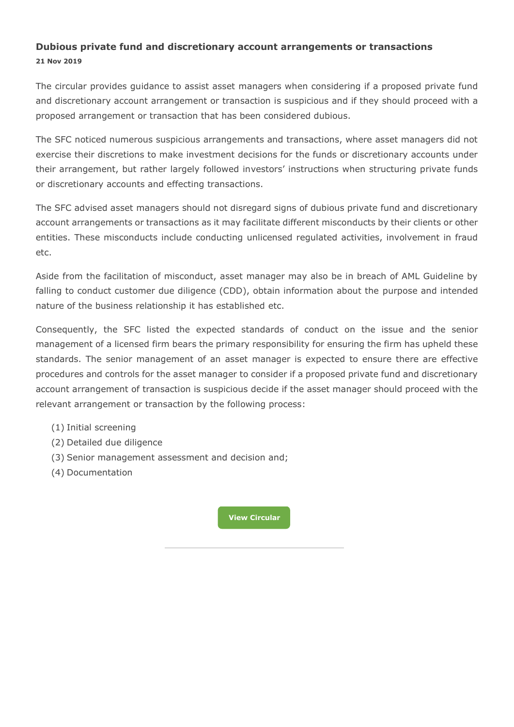### **Dubious private fund and discretionary account arrangements or transactions 21 Nov 2019**

The circular provides guidance to assist asset managers when considering if a proposed private fund and discretionary account arrangement or transaction is suspicious and if they should proceed with a proposed arrangement or transaction that has been considered dubious.

The SFC noticed numerous suspicious arrangements and transactions, where asset managers did not exercise their discretions to make investment decisions for the funds or discretionary accounts under their arrangement, but rather largely followed investors' instructions when structuring private funds or discretionary accounts and effecting transactions.

The SFC advised asset managers should not disregard signs of dubious private fund and discretionary account arrangements or transactions as it may facilitate different misconducts by their clients or other entities. These misconducts include conducting unlicensed regulated activities, involvement in fraud etc.

Aside from the facilitation of misconduct, asset manager may also be in breach of AML Guideline by falling to conduct customer due diligence (CDD), obtain information about the purpose and intended nature of the business relationship it has established etc.

Consequently, the SFC listed the expected standards of conduct on the issue and the senior management of a licensed firm bears the primary responsibility for ensuring the firm has upheld these standards. The senior management of an asset manager is expected to ensure there are effective procedures and controls for the asset manager to consider if a proposed private fund and discretionary account arrangement of transaction is suspicious decide if the asset manager should proceed with the relevant arrangement or transaction by the following process:

- (1) Initial screening
- (2) Detailed due diligence
- (3) Senior management assessment and decision and;
- (4) Documentation

**[View Circular](https://www.sfc.hk/edistributionWeb/gateway/EN/circular/intermediaries/supervision/doc?refNo=19EC68)**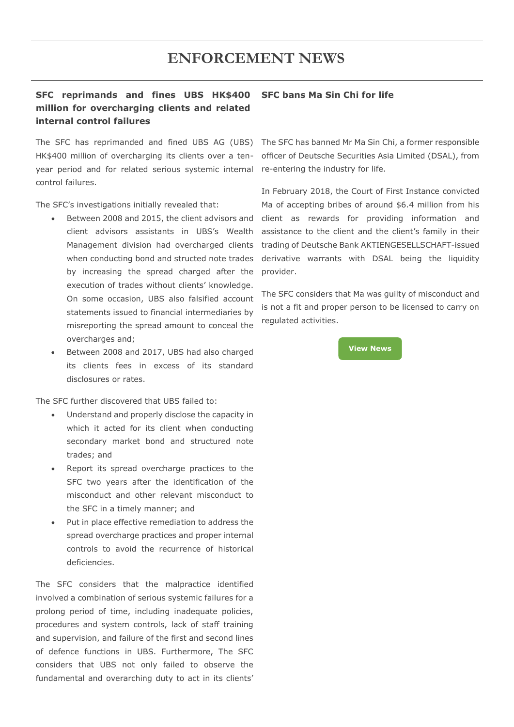## **ENFORCEMENT NEWS**

#### **SFC reprimands and fines UBS HK\$400 million for overcharging clients and related internal control failures SFC bans Ma Sin Chi for life**

HK\$400 million of overcharging its clients over a tenyear period and for related serious systemic internal re-entering the industry for life. control failures.

The SFC's investigations initially revealed that:

- Between 2008 and 2015, the client advisors and client advisors assistants in UBS's Wealth Management division had overcharged clients when conducting bond and structed note trades by increasing the spread charged after the execution of trades without clients' knowledge. On some occasion, UBS also falsified account statements issued to financial intermediaries by misreporting the spread amount to conceal the overcharges and;
- Between 2008 and 2017, UBS had also charged its clients fees in excess of its standard disclosures or rates.

The SFC further discovered that UBS failed to:

- Understand and properly disclose the capacity in which it acted for its client when conducting secondary market bond and structured note trades; and
- Report its spread overcharge practices to the SFC two years after the identification of the misconduct and other relevant misconduct to the SFC in a timely manner; and
- Put in place effective remediation to address the spread overcharge practices and proper internal controls to avoid the recurrence of historical deficiencies.

The SFC considers that the malpractice identified involved a combination of serious systemic failures for a prolong period of time, including inadequate policies, procedures and system controls, lack of staff training and supervision, and failure of the first and second lines of defence functions in UBS. Furthermore, The SFC considers that UBS not only failed to observe the fundamental and overarching duty to act in its clients'

The SFC has reprimanded and fined UBS AG (UBS) The SFC has banned Mr Ma Sin Chi, a former responsible officer of Deutsche Securities Asia Limited (DSAL), from

> In February 2018, the Court of First Instance convicted Ma of accepting bribes of around \$6.4 million from his client as rewards for providing information and assistance to the client and the client's family in their trading of Deutsche Bank AKTIENGESELLSCHAFT-issued derivative warrants with DSAL being the liquidity provider.

> The SFC considers that Ma was guilty of misconduct and is not a fit and proper person to be licensed to carry on regulated activities.

> > **[View News](https://www.sfc.hk/edistributionWeb/gateway/EN/news-and-announcements/news/enforcement-news/doc?refNo=19PR112)**